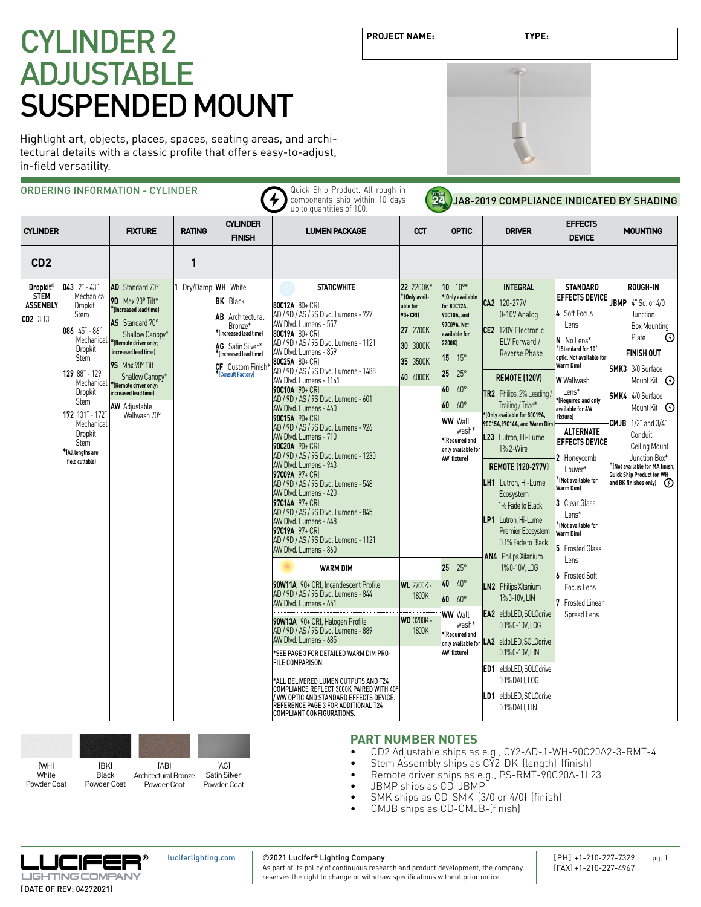Highlight art, objects, places, spaces, seating areas, and architectural details with a classic profile that offers easy-to-adjust, in-field versatility.

|                                                                           |                                                                                                                                                                                                                                                    | ORDERING INFORMATION - CYLINDER                                                                                                                                                                                                                                                                 |                   |                                                                                                                                                                        | Quick Ship Product. All rough in<br>components ship within 10 days<br>up to quantities of 100.                                                                                                                                                                                                                                                                                                                                                                                                                                                                                                                                                                                                                                                                                                                                                                                                                                                                                                                                                                                                    | 24                                                                                                                                                             |                                                                                                                                                                                                                                                                                                                                                                                       | JA8-2019 COMPLIANCE INDICATED BY SHADING                                                                                                                                                                                                                                                                                                                                                                                                                                                                                                                                                                                                                 |                                                                                                                                                                                                                                                                                                                                                                                                                                                                                                                                                 |                                                                                                                                                                                                                                                                                                                                                                                                            |
|---------------------------------------------------------------------------|----------------------------------------------------------------------------------------------------------------------------------------------------------------------------------------------------------------------------------------------------|-------------------------------------------------------------------------------------------------------------------------------------------------------------------------------------------------------------------------------------------------------------------------------------------------|-------------------|------------------------------------------------------------------------------------------------------------------------------------------------------------------------|---------------------------------------------------------------------------------------------------------------------------------------------------------------------------------------------------------------------------------------------------------------------------------------------------------------------------------------------------------------------------------------------------------------------------------------------------------------------------------------------------------------------------------------------------------------------------------------------------------------------------------------------------------------------------------------------------------------------------------------------------------------------------------------------------------------------------------------------------------------------------------------------------------------------------------------------------------------------------------------------------------------------------------------------------------------------------------------------------|----------------------------------------------------------------------------------------------------------------------------------------------------------------|---------------------------------------------------------------------------------------------------------------------------------------------------------------------------------------------------------------------------------------------------------------------------------------------------------------------------------------------------------------------------------------|----------------------------------------------------------------------------------------------------------------------------------------------------------------------------------------------------------------------------------------------------------------------------------------------------------------------------------------------------------------------------------------------------------------------------------------------------------------------------------------------------------------------------------------------------------------------------------------------------------------------------------------------------------|-------------------------------------------------------------------------------------------------------------------------------------------------------------------------------------------------------------------------------------------------------------------------------------------------------------------------------------------------------------------------------------------------------------------------------------------------------------------------------------------------------------------------------------------------|------------------------------------------------------------------------------------------------------------------------------------------------------------------------------------------------------------------------------------------------------------------------------------------------------------------------------------------------------------------------------------------------------------|
| <b>CYLINDER</b>                                                           |                                                                                                                                                                                                                                                    | <b>FIXTURE</b>                                                                                                                                                                                                                                                                                  | <b>RATING</b>     | <b>CYLINDER</b><br><b>FINISH</b>                                                                                                                                       | <b>LUMEN PACKAGE</b>                                                                                                                                                                                                                                                                                                                                                                                                                                                                                                                                                                                                                                                                                                                                                                                                                                                                                                                                                                                                                                                                              | $\alpha$                                                                                                                                                       | <b>OPTIC</b>                                                                                                                                                                                                                                                                                                                                                                          | <b>DRIVER</b>                                                                                                                                                                                                                                                                                                                                                                                                                                                                                                                                                                                                                                            | <b>EFFECTS</b><br><b>DEVICE</b>                                                                                                                                                                                                                                                                                                                                                                                                                                                                                                                 | <b>MOUNTING</b>                                                                                                                                                                                                                                                                                                                                                                                            |
| CD <sub>2</sub>                                                           |                                                                                                                                                                                                                                                    |                                                                                                                                                                                                                                                                                                 | 1                 |                                                                                                                                                                        |                                                                                                                                                                                                                                                                                                                                                                                                                                                                                                                                                                                                                                                                                                                                                                                                                                                                                                                                                                                                                                                                                                   |                                                                                                                                                                |                                                                                                                                                                                                                                                                                                                                                                                       |                                                                                                                                                                                                                                                                                                                                                                                                                                                                                                                                                                                                                                                          |                                                                                                                                                                                                                                                                                                                                                                                                                                                                                                                                                 |                                                                                                                                                                                                                                                                                                                                                                                                            |
| <b>Dropkit<sup>®</sup></b><br><b>STEM</b><br><b>ASSEMBLY</b><br>CD2 3.13" | $043$ $2" - 43"$<br>Mechanical<br>Dropkit<br><b>Stem</b><br>086 45" - 86"<br>Mechanical<br>Dropkit<br><b>Stem</b><br>129 88" - 129'<br>Dropkit<br>Stem<br>172 131" - 172"<br>Mechanical<br>Dropkit<br>Stem<br>*(All lengths are<br>field cuttable) | AD Standard 70°<br>9D Max 90° Tilt*<br>*(Increased lead time)<br>AS Standard 70°<br>Shallow Canopy*<br>*(Remote driver only;<br>increased lead time)<br>9S Max 90° Tilt<br>Shallow Canopy*<br>Mechanical  *[Remote driver only;<br>increased lead time)<br><b>AW</b> Adjustable<br>Wallwash 70° | Dry/Damp WH White | <b>BK</b> Black<br><b>AB</b> Architectural<br>Bronze*<br>(Increased lead time)*<br>AG Satin Silver*<br>*(Increased lead time)<br>CF Custom Finish<br>(Consult Factory) | <b>STATIC WHITE</b><br>80C12A 80+ CRI<br>AD / 9D / AS / 9S Dlvd. Lumens - 727<br>AW Dlvd. Lumens - 557<br>80C19A 80+ CRI<br>AD / 9D / AS / 9S Dlvd. Lumens - 1121<br>AW Dlvd. Lumens - 859<br>80C25A 80+ CRI<br>AD / 9D / AS / 9S Dlvd. Lumens - 1488<br>AW Dlvd. Lumens - 1141<br>90C10A 90+ CRI<br>AD / 9D / AS / 9S Dlvd. Lumens - 601<br>AW Dlvd. Lumens - 460<br>90C15A 90+ CRI<br>AD / 9D / AS / 9S Dlvd. Lumens - 926<br>AW Dlvd. Lumens - 710<br>90C20A 90+ CRI<br>AD / 9D / AS / 9S Dlvd. Lumens - 1230<br>AW Dlvd. Lumens - 943<br>97C09A 97+ CRI<br>AD / 9D / AS / 9S Dlvd. Lumens - 548<br>AW Dlvd. Lumens - 420<br>97C14A 97+ CRI<br>AD / 9D / AS / 9S Dlvd. Lumens - 845<br>AW Dlvd. Lumens - 648<br>97C19A 97+ CRI<br>AD / 9D / AS / 9S Dlvd. Lumens - 1121<br>AW Dlvd. Lumens - 860<br><b>WARM DIM</b><br>90W11A 90+ CRI. Incandescent Profile<br>AD / 9D / AS / 9S Dlvd. Lumens - 844<br>AW Dlvd. Lumens - 651<br>90W13A 90+ CRI, Halogen Profile<br>AD / 9D / AS / 9S Dlvd. Lumens - 889<br>AW Dlvd. Lumens - 685<br>*SEE PAGE 3 FOR DETAILED WARM DIM PRO-<br>FILE COMPARISON. | 22 2200K*<br>* (Only avail-<br>able for<br>90+ CRI)<br>27 2700K<br>30 3000K<br>35 3500K<br>40 4000K<br><b>WL</b> 2700K -<br>1800K<br><b>WD 3200K-</b><br>1800K | $10^{10*}$<br>*(Only available<br>for 80C12A,<br>90C10A, and<br>97C09A. Not<br>available for<br>2200K)<br>$15 \t 15^{\circ}$<br>25<br>$25^{\circ}$<br>$40.40^{\circ}$<br>$60.60^{\circ}$<br><b>WW</b> Wall<br>wash*<br><b>Required</b> and<br>only available for<br>AW fixture)<br>$25 \t 25^{\circ}$<br>40 40°<br>60 60°<br><b>WW</b> Wall<br>wash*<br>*(Required and<br>AW fixture) | <b>INTEGRAL</b><br>CA2 120-277V<br>0-10V Analog<br>CE2 120V Electronic<br>ELV Forward /<br>Reverse Phase<br><b>REMOTE (120V)</b><br>TR2 Philips, 2% Leading,<br>Trailing / Triac*<br>*(Only available for 80C19A,<br>90C15A, 97C14A, and Warm Dim)<br>L23 Lutron, Hi-Lume<br>1% 2-Wire<br><b>REMOTE (120-277V)</b><br>LH1 Lutron, Hi-Lume<br>Ecosystem<br>1% Fade to Black<br>LP1 Lutron, Hi-Lume<br>Premier Ecosystem<br>0.1% Fade to Black<br>AN4 Philips Xitanium<br>1% 0-10V, LOG<br><b>LN2</b> Philips Xitanium<br>1%0-10V, LIN<br><b>EA2</b> eldoLED, SOLOdrive<br>0.1% 0-10V, LOG<br>only available for LA2 eldoLED, SOLOdrive<br>0.1% 0-10V, LIN | <b>STANDARD</b><br><b>EFFECTS DEVICE</b><br>4 Soft Focus<br>l ens<br>N No Lens*<br>$^*$ (Standard for 10 $^{\circ}$<br>optic. Not available for<br>Warm Dim)<br><b>W</b> Wallwash<br>Lens*<br>*(Required and only<br>available for AW<br>fixturel<br><b>ALTERNATE</b><br><b>EFFECTS DEVICE</b><br>2 Honeycomb<br>Louver*<br>$\sqrt[k]{\text{Not available for}}$<br><b>Warm Diml</b><br>3 Clear Glass<br>Lens*<br>(Not available for<br>Warm Diml<br>5 Frosted Glass<br>lens<br>6 Frosted Soft<br>Focus Lens<br>7 Frosted Linear<br>Spread Lens | ROUGH-IN<br>JBMP 4" Sq. or 4/0<br>Junction<br>Box Mounting<br>Plate<br>$\odot$<br><b>FINISH OUT</b><br><b>SMK3</b> 3/0 Surface<br>Mount Kit <b>①</b><br><b>SMK4</b> 4/0 Surface<br>Mount Kit <b>①</b><br><b>CMJB</b> 1/2" and 3/4"<br>Conduit<br>Ceiling Mount<br>Junction Box*<br>$\mathstrut^{\kappa}$ (Not available for MA finish.<br>Quick Ship Product for WH<br>and BK finishes only) $\qquad$ ( +) |
|                                                                           |                                                                                                                                                                                                                                                    |                                                                                                                                                                                                                                                                                                 |                   |                                                                                                                                                                        | ALL DELIVERED LUMEN OUTPUTS AND T24*<br>COMPLIANCE REFLECT 3000K PAIRED WITH 40°<br>/ WW OPTIC AND STANDARD EFFECTS DEVICE.<br>REFERENCE PAGE 3 FOR ADDITIONAL T24<br>COMPLIANT CONFIGURATIONS.                                                                                                                                                                                                                                                                                                                                                                                                                                                                                                                                                                                                                                                                                                                                                                                                                                                                                                   |                                                                                                                                                                |                                                                                                                                                                                                                                                                                                                                                                                       | ED1 eldoLED, SOLOdrive<br>0.1% DALI, LOG<br>LD1 eldoLED, SOLOdrive<br>0.1% DALI, LIN                                                                                                                                                                                                                                                                                                                                                                                                                                                                                                                                                                     |                                                                                                                                                                                                                                                                                                                                                                                                                                                                                                                                                 |                                                                                                                                                                                                                                                                                                                                                                                                            |



### **PART NUMBER NOTES**

- CD2 Adjustable ships as e.g., CY2-AD-1-WH-90C20A2-3-RMT-4
- Stem Assembly ships as  $CY2-DK-(length)-(finish)$ <br>• Remote driver ships as e.g. PS-RMT-90C204-112
- Remote driver ships as e.g., PS-RMT-90C20A-1L23
- JBMP ships as CD-JBMP
- SMK ships as CD-SMK-(3/0 or 4/0)-(finish)
- CMJB ships as CD-CMJB-(finish)



©2021 Lucifer**®** Lighting Company

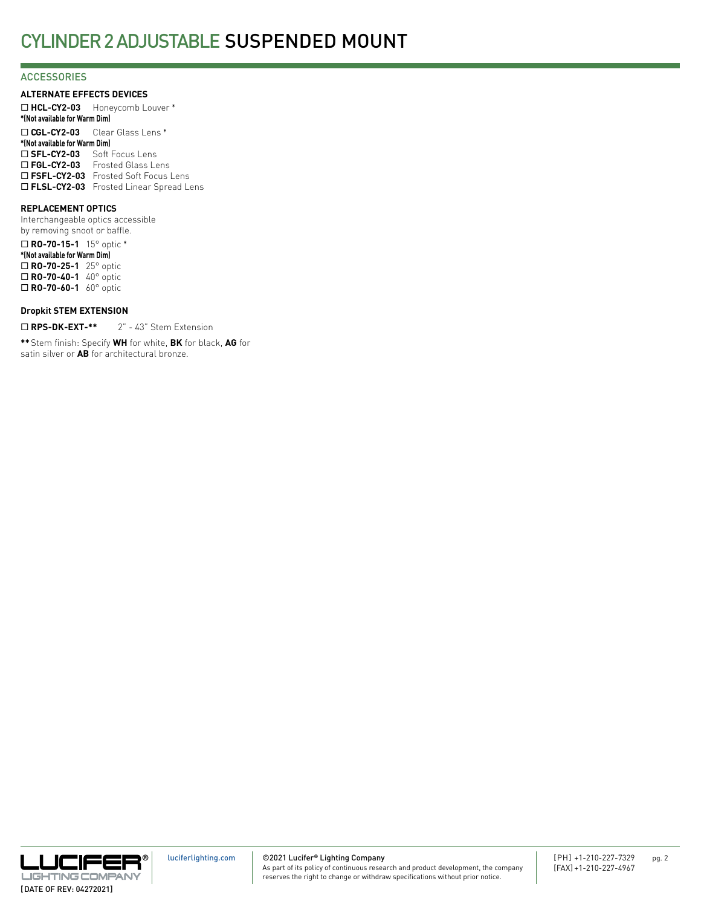### **ACCESSORIES**

**ALTERNATE EFFECTS DEVICES**

¨ **HCL-CY2-03** Honeycomb Louver \* **\*(Not available for Warm Dim)** ¨ **CGL-CY2-03** Clear Glass Lens \* **\*(Not available for Warm Dim)** □ SFL-CY2-03 Soft Focus Lens □ FGL-CY2-03 Frosted Glass Lens □ FSFL-CY2-03 Frosted Soft Focus Lens □ FLSL-CY2-03 Frosted Linear Spread Lens

### **REPLACEMENT OPTICS**

Interchangeable optics accessible by removing snoot or baffle.

¨ **RO-70-15-1** 15° optic \* **\*(Not available for Warm Dim)** ¨ **RO-70-25-1** 25° optic ¨ **RO-70-40-1** 40° optic □ **RO-70-60-1** 60° optic

### **Dropkit STEM EXTENSION**

□ RPS-DK-EXT-\*\* 2" - 43" Stem Extension

**\*\***Stem finish: Specify **WH** for white, **BK** for black, **AG** for satin silver or **AB** for architectural bronze.

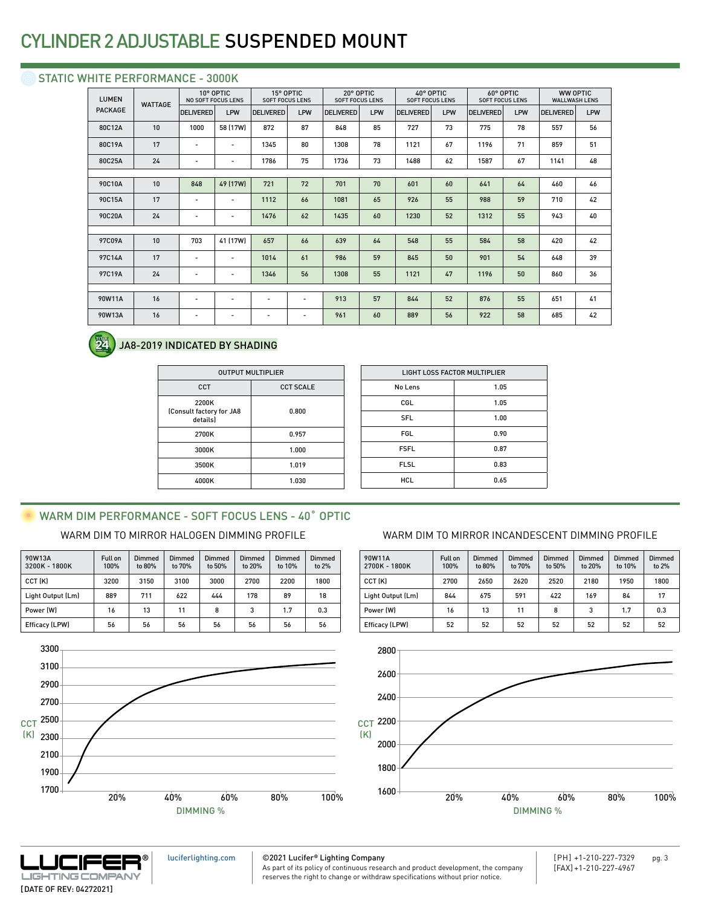### STATIC WHITE PERFORMANCE - 3000K

| <b>LUMEN</b><br><b>WATTAGE</b> |    | 10° OPTIC<br><b>NO SOFT FOCUS LENS</b> |                          | 15° OPTIC<br><b>SOFT FOCUS LENS</b> |                          | 20° OPTIC<br><b>SOFT FOCUS LENS</b> |     | 40° OPTIC<br><b>SOFT FOCUS LENS</b> |     | 60° OPTIC<br><b>SOFT FOCUS LENS</b> |     | <b>WW OPTIC</b><br><b>WALLWASH LENS</b> |     |
|--------------------------------|----|----------------------------------------|--------------------------|-------------------------------------|--------------------------|-------------------------------------|-----|-------------------------------------|-----|-------------------------------------|-----|-----------------------------------------|-----|
| <b>PACKAGE</b>                 |    | <b>DELIVERED</b>                       | LPW                      | <b>DELIVERED</b>                    | LPW                      | <b>DELIVERED</b>                    | LPW | <b>DELIVERED</b>                    | LPW | <b>DELIVERED</b>                    | LPW | <b>DELIVERED</b>                        | LPW |
| 80C12A                         | 10 | 1000                                   | 58 (17W)                 | 872                                 | 87                       | 848                                 | 85  | 727                                 | 73  | 775                                 | 78  | 557                                     | 56  |
| 80C19A                         | 17 | $\overline{\phantom{a}}$               | $\overline{\phantom{a}}$ | 1345                                | 80                       | 1308                                | 78  | 1121                                | 67  | 1196                                | 71  | 859                                     | 51  |
| 80C25A                         | 24 | $\overline{a}$                         | $\overline{\phantom{a}}$ | 1786                                | 75                       | 1736                                | 73  | 1488                                | 62  | 1587                                | 67  | 1141                                    | 48  |
|                                |    |                                        |                          |                                     |                          |                                     |     |                                     |     |                                     |     |                                         |     |
| 90C10A                         | 10 | 848                                    | 49 (17W)                 | 721                                 | 72                       | 701                                 | 70  | 601                                 | 60  | 641                                 | 64  | 460                                     | 46  |
| 90C15A                         | 17 | $\overline{\phantom{a}}$               | $\overline{\phantom{a}}$ | 1112                                | 66                       | 1081                                | 65  | 926                                 | 55  | 988                                 | 59  | 710                                     | 42  |
| 90C20A                         | 24 | $\overline{a}$                         | $\overline{\phantom{a}}$ | 1476                                | 62                       | 1435                                | 60  | 1230                                | 52  | 1312                                | 55  | 943                                     | 40  |
|                                |    |                                        |                          |                                     |                          |                                     |     |                                     |     |                                     |     |                                         |     |
| 97C09A                         | 10 | 703                                    | 41 (17W)                 | 657                                 | 66                       | 639                                 | 64  | 548                                 | 55  | 584                                 | 58  | 420                                     | 42  |
| 97C14A                         | 17 | $\overline{\phantom{a}}$               | $\overline{\phantom{a}}$ | 1014                                | 61                       | 986                                 | 59  | 845                                 | 50  | 901                                 | 54  | 648                                     | 39  |
| 97C19A                         | 24 | $\overline{\phantom{a}}$               | $\overline{\phantom{a}}$ | 1346                                | 56                       | 1308                                | 55  | 1121                                | 47  | 1196                                | 50  | 860                                     | 36  |
|                                |    |                                        |                          |                                     |                          |                                     |     |                                     |     |                                     |     |                                         |     |
| 90W11A                         | 16 | $\overline{\phantom{a}}$               | $\overline{\phantom{a}}$ | $\overline{\phantom{a}}$            | $\overline{\phantom{a}}$ | 913                                 | 57  | 844                                 | 52  | 876                                 | 55  | 651                                     | 41  |
| 90W13A                         | 16 | $\overline{\phantom{a}}$               | $\overline{\phantom{a}}$ | $\overline{\phantom{a}}$            | -                        | 961                                 | 60  | 889                                 | 56  | 922                                 | 58  | 685                                     | 42  |
|                                |    |                                        |                          |                                     |                          |                                     |     |                                     |     |                                     |     |                                         |     |



### JA8-2019 INDICATED BY SHADING

| <b>OUTPUT MULTIPLIER</b>                      |                  |  |  |  |  |
|-----------------------------------------------|------------------|--|--|--|--|
| CCT                                           | <b>CCT SCALE</b> |  |  |  |  |
| 2200K<br>(Consult factory for JA8<br>details) | 0.800            |  |  |  |  |
| 2700K                                         | 0.957            |  |  |  |  |
| 3000K                                         | 1.000            |  |  |  |  |
| 3500K                                         | 1.019            |  |  |  |  |
| 4000K                                         | 1.030            |  |  |  |  |

| LIGHT LOSS FACTOR MULTIPLIER |      |  |  |  |
|------------------------------|------|--|--|--|
| No Lens                      | 1.05 |  |  |  |
| CGL                          | 1.05 |  |  |  |
| <b>SFL</b>                   | 1.00 |  |  |  |
| <b>FGL</b>                   | 0.90 |  |  |  |
| <b>FSFL</b>                  | 0.87 |  |  |  |
| <b>FLSL</b>                  | 0.83 |  |  |  |
| <b>HCL</b>                   | 0.65 |  |  |  |
|                              |      |  |  |  |

## WARM DIM PERFORMANCE - SOFT FOCUS LENS - 40° OPTIC

| 90W13A<br>3200K - 1800K | Full on<br>100% | <b>Dimmed</b><br>to 80% | Dimmed<br>to 70% | Dimmed<br>to 50% | Dimmed<br>to 20% | Dimmed<br>to 10% | Dimmed<br>to 2% |
|-------------------------|-----------------|-------------------------|------------------|------------------|------------------|------------------|-----------------|
| CCT (K)                 | 3200            | 3150                    | 3100             | 3000             | 2700             | 2200             | 1800            |
| Light Output (Lm)       | 889             | 711                     | 622              | 444              | 178              | 89               | 18              |
| Power (W)               | 16              | 13                      | 11               | 8                | 3                | 1.7              | 0.3             |
| Efficacy (LPW)          | 56              | 56                      | 56               | 56               | 56               | 56               | 56              |



### WARM DIM TO MIRROR HALOGEN DIMMING PROFILE WARM DIM TO MIRROR INCANDESCENT DIMMING PROFILE

| 90W11A<br>2700K - 1800K | <b>Full on</b><br>100% | Dimmed<br>to 80% | Dimmed<br>to 70% | Dimmed<br>to 50% | Dimmed<br>to 20% | Dimmed<br>to 10% | Dimmed<br>to $2%$ |
|-------------------------|------------------------|------------------|------------------|------------------|------------------|------------------|-------------------|
| CCT (K)                 | 2700                   | 2650             | 2620             | 2520             | 2180             | 1950             | 1800              |
| Light Output (Lm)       | 844                    | 675              | 591              | 422              | 169              | 84               | 17                |
| Power (W)               | 16                     | 13               | 11               | 8                | 3                | 1.7              | 0.3               |
| <b>Efficacy (LPW)</b>   | 52                     | 52               | 52               | 52               | 52               | 52               | 52                |





[luciferlighting.com](http://luciferlighting.com/)

©2021 Lucifer**®** Lighting Company As part of its policy of continuous research and product development, the company [PH] +1-210-227-7329 pg. 3 [FAX] +1-210-227-4967

reserves the right to change or withdraw specifications without prior notice.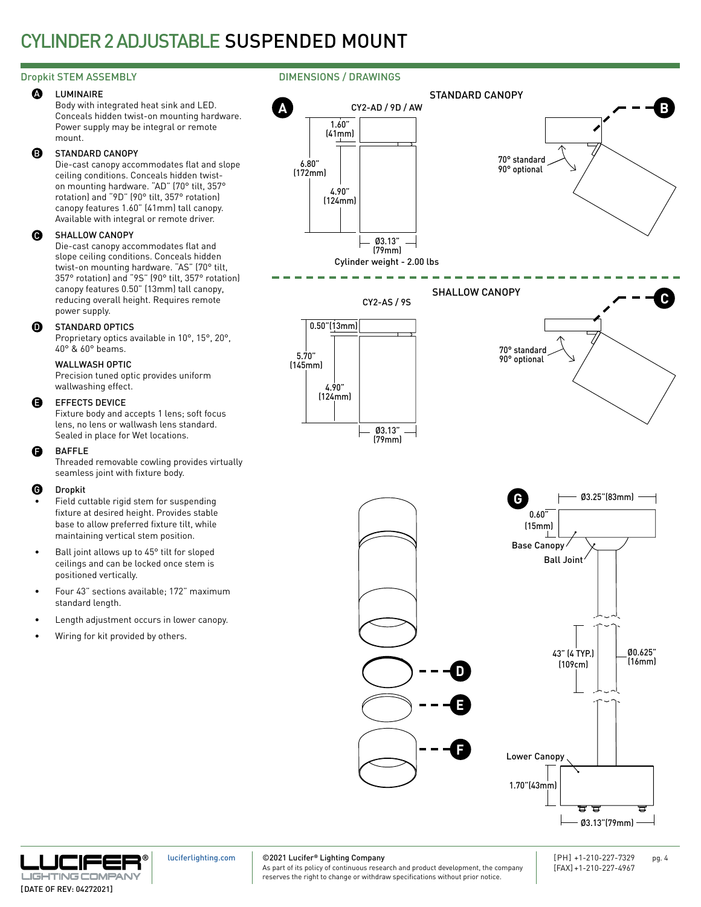#### LUMINAIRE **A**

Body with integrated heat sink and LED. Conceals hidden twist-on mounting hardware. Power supply may be integral or remote mount.

#### STANDARD CANOPY B

Die-cast canopy accommodates flat and slope ceiling conditions. Conceals hidden twiston mounting hardware. "AD" (70° tilt, 357° rotation) and "9D" (90° tilt, 357° rotation) canopy features 1.60" (41mm) tall canopy. Available with integral or remote driver.

#### SHALLOW CANOPY  $\boldsymbol{\Omega}$

Die-cast canopy accommodates flat and slope ceiling conditions. Conceals hidden twist-on mounting hardware. "AS" (70° tilt, 357° rotation) and "9S" (90° tilt, 357° rotation) canopy features 0.50" (13mm) tall canopy, reducing overall height. Requires remote power supply.

#### STANDARD OPTICS **ጠ**

Proprietary optics available in 10°, 15°, 20°, 40° & 60° beams.

### WALLWASH OPTIC

Precision tuned optic provides uniform wallwashing effect.

#### EFFECTS DEVICE E

Fixture body and accepts 1 lens; soft focus lens, no lens or wallwash lens standard. Sealed in place for Wet locations.

#### BAFFLE F

Threaded removable cowling provides virtually seamless joint with fixture body.

#### Dropkit G

- Field cuttable rigid stem for suspending fixture at desired height. Provides stable base to allow preferred fixture tilt, while maintaining vertical stem position.
- Ball joint allows up to 45° tilt for sloped ceilings and can be locked once stem is positioned vertically.
- Four 43" sections available; 172" maximum standard length.
- Length adjustment occurs in lower canopy.
- Wiring for kit provided by others.

### Dropkit STEM ASSEMBLY **DIMENSIONS** / DRAWINGS





[luciferlighting.com](http://luciferlighting.com/)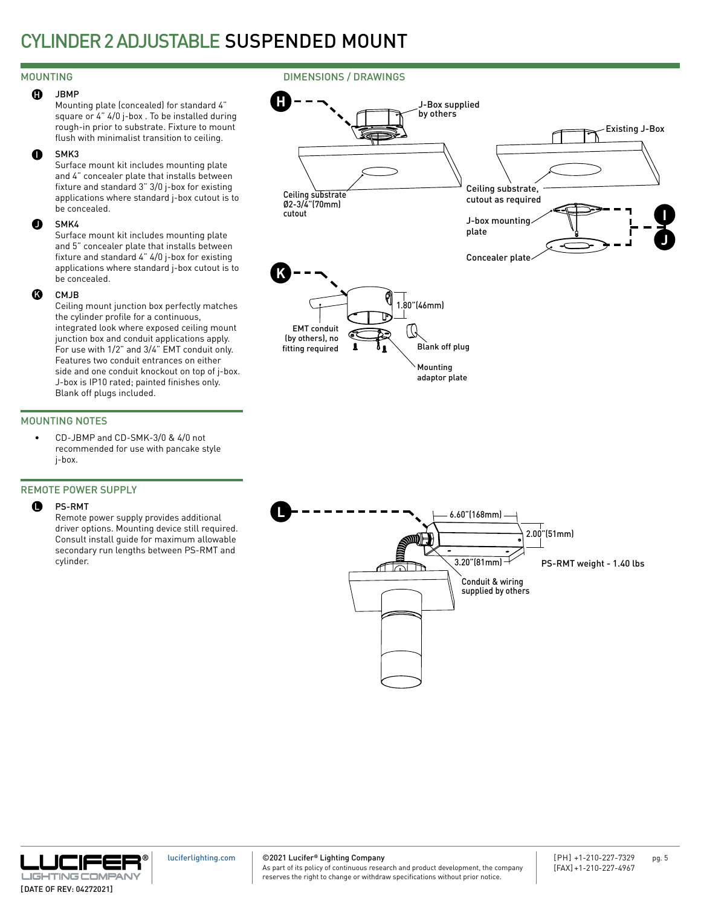### MOUNTING

#### JBMP  $\mathbf{G}$

Mounting plate (concealed) for standard 4" square or 4" 4/0 j-box . To be installed during rough-in prior to substrate. Fixture to mount flush with minimalist transition to ceiling.

#### SMK3 I

Surface mount kit includes mounting plate and 4" concealer plate that installs between fixture and standard 3" 3/0 j-box for existing applications where standard j-box cutout is to be concealed.

#### SMK4  $\bf o$

Surface mount kit includes mounting plate and 5" concealer plate that installs between fixture and standard 4" 4/0 j-box for existing applications where standard j-box cutout is to be concealed.

#### CM<sub>IR</sub> K

Ceiling mount junction box perfectly matches the cylinder profile for a continuous, integrated look where exposed ceiling mount junction box and conduit applications apply. For use with 1/2" and 3/4" EMT conduit only. Features two conduit entrances on either side and one conduit knockout on top of j-box. J-box is IP10 rated; painted finishes only. Blank off plugs included.

### MOUNTING NOTES

• CD-JBMP and CD-SMK-3/0 & 4/0 not recommended for use with pancake style j-box.

### REMOTE POWER SUPPLY

#### PS-RMT  $\mathbf 0$

Remote power supply provides additional driver options. Mounting device still required. Consult install guide for maximum allowable secondary run lengths between PS-RMT and cylinder.



J-Box supplied by others

DIMENSIONS / DRAWINGS

**H**





[luciferlighting.com](http://luciferlighting.com/)

©2021 Lucifer**®** Lighting Company

As part of its policy of continuous research and product development, the company reserves the right to change or withdraw specifications without prior notice.

Existing J-Box

**J**

**I**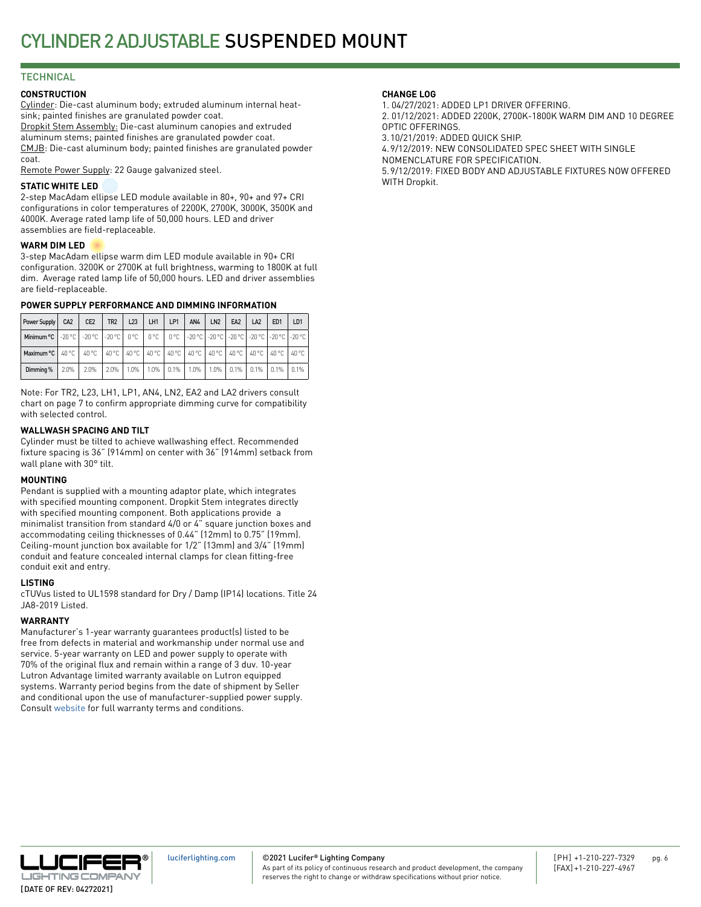### **TECHNICAL**

### **CONSTRUCTION**

Cylinder: Die-cast aluminum body; extruded aluminum internal heatsink; painted finishes are granulated powder coat. Dropkit Stem Assembly: Die-cast aluminum canopies and extruded aluminum stems; painted finishes are granulated powder coat. CMJB: Die-cast aluminum body; painted finishes are granulated powder coat.

Remote Power Supply: 22 Gauge galvanized steel.

### **STATIC WHITE LED**

2-step MacAdam ellipse LED module available in 80+, 90+ and 97+ CRI configurations in color temperatures of 2200K, 2700K, 3000K, 3500K and 4000K. Average rated lamp life of 50,000 hours. LED and driver assemblies are field-replaceable.

### **WARM DIM LED**

3-step MacAdam ellipse warm dim LED module available in 90+ CRI configuration. 3200K or 2700K at full brightness, warming to 1800K at full dim. Average rated lamp life of 50,000 hours. LED and driver assemblies are field-replaceable.

### **POWER SUPPLY PERFORMANCE AND DIMMING INFORMATION**

| Power Supply                                                                                                     | CA <sub>2</sub> | CE <sub>2</sub> | TR <sub>2</sub> | L23     | LH <sub>1</sub> | LP1 | AN4 | LN <sub>2</sub> | EA <sub>2</sub>                         | LA <sub>2</sub> | ED <sub>1</sub>           | LD <sub>1</sub> |
|------------------------------------------------------------------------------------------------------------------|-----------------|-----------------|-----------------|---------|-----------------|-----|-----|-----------------|-----------------------------------------|-----------------|---------------------------|-----------------|
| Minimum °C   -20 °C   -20 °C   -20 °C   0 °C   0 °C   0 °C   -20 °C   -20 °C   -20 °C   -20 °C   -20 °C   -20 °C |                 |                 |                 |         |                 |     |     |                 |                                         |                 |                           |                 |
| Maximum °C   40 °C   40 °C   40 °C   40 °C   40 °C   40 °C   40 °C   40 °C   40 °C   40 °C   40 °C               |                 |                 |                 |         |                 |     |     |                 |                                         |                 |                           | 40 °C           |
| Dimming %                                                                                                        | 2.0%            | 2.0%            | $2.0\%$         | $1.0\%$ |                 |     |     |                 | 1.0%   0.1%   1.0%   1.0%   0.1%   0.1% |                 | $\vert$ 0.1% $\vert$ 0.1% |                 |

Note: For TR2, L23, LH1, LP1, AN4, LN2, EA2 and LA2 drivers consult chart on page 7 to confirm appropriate dimming curve for compatibility with selected control.

### **WALLWASH SPACING AND TILT**

Cylinder must be tilted to achieve wallwashing effect. Recommended fixture spacing is 36" (914mm) on center with 36" (914mm) setback from wall plane with 30° tilt.

### **MOUNTING**

Pendant is supplied with a mounting adaptor plate, which integrates with specified mounting component. Dropkit Stem integrates directly with specified mounting component. Both applications provide a minimalist transition from standard 4/0 or 4" square junction boxes and accommodating ceiling thicknesses of 0.44" (12mm) to 0.75" (19mm). Ceiling-mount junction box available for 1/2" (13mm) and 3/4" (19mm) conduit and feature concealed internal clamps for clean fitting-free conduit exit and entry.

### **LISTING**

cTUVus listed to UL1598 standard for Dry / Damp (IP14) locations. Title 24 JA8-2019 Listed.

### **WARRANTY**

Manufacturer's 1-year warranty guarantees product(s) listed to be free from defects in material and workmanship under normal use and service. 5-year warranty on LED and power supply to operate with 70% of the original flux and remain within a range of 3 duv. 10-year Lutron Advantage limited warranty available on Lutron equipped systems. Warranty period begins from the date of shipment by Seller and conditional upon the use of manufacturer-supplied power supply. Consult [website](http://luciferlighting.com/Resources/Full-Warranty) for full warranty terms and conditions.

### **CHANGE LOG**

1. 04/27/2021: ADDED LP1 DRIVER OFFERING. 2. 01/12/2021: ADDED 2200K, 2700K-1800K WARM DIM AND 10 DEGREE OPTIC OFFERINGS. 3.10/21/2019: ADDED QUICK SHIP. 4.9/12/2019: NEW CONSOLIDATED SPEC SHEET WITH SINGLE

NOMENCLATURE FOR SPECIFICATION.

5.9/12/2019: FIXED BODY AND ADJUSTABLE FIXTURES NOW OFFERED WITH Dropkit.



©2021 Lucifer**®** Lighting Company